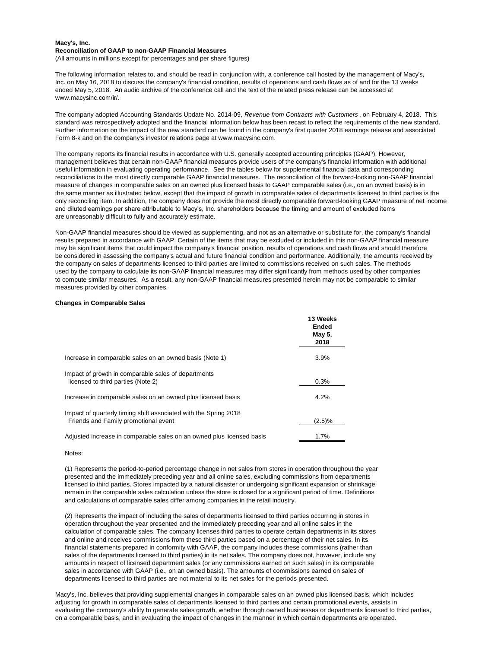## **Macy's, Inc. Reconciliation of GAAP to non-GAAP Financial Measures**

(All amounts in millions except for percentages and per share figures)

The following information relates to, and should be read in conjunction with, a conference call hosted by the management of Macy's, Inc. on May 16, 2018 to discuss the company's financial condition, results of operations and cash flows as of and for the 13 weeks ended May 5, 2018. An audio archive of the conference call and the text of the related press release can be accessed at www.macysinc.com/ir/.

The company adopted Accounting Standards Update No. 2014-09, *Revenue from Contracts with Customers* , on February 4, 2018. This standard was retrospectively adopted and the financial information below has been recast to reflect the requirements of the new standard. Further information on the impact of the new standard can be found in the company's first quarter 2018 earnings release and associated Form 8-k and on the company's investor relations page at www.macysinc.com.

The company reports its financial results in accordance with U.S. generally accepted accounting principles (GAAP). However, management believes that certain non-GAAP financial measures provide users of the company's financial information with additional useful information in evaluating operating performance. See the tables below for supplemental financial data and corresponding reconciliations to the most directly comparable GAAP financial measures. The reconciliation of the forward-looking non-GAAP financial measure of changes in comparable sales on an owned plus licensed basis to GAAP comparable sales (i.e., on an owned basis) is in the same manner as illustrated below, except that the impact of growth in comparable sales of departments licensed to third parties is the only reconciling item. In addition, the company does not provide the most directly comparable forward-looking GAAP measure of net income and diluted earnings per share attributable to Macy's, Inc. shareholders because the timing and amount of excluded items are unreasonably difficult to fully and accurately estimate.

Non-GAAP financial measures should be viewed as supplementing, and not as an alternative or substitute for, the company's financial results prepared in accordance with GAAP. Certain of the items that may be excluded or included in this non-GAAP financial measure may be significant items that could impact the company's financial position, results of operations and cash flows and should therefore be considered in assessing the company's actual and future financial condition and performance. Additionally, the amounts received by the company on sales of departments licensed to third parties are limited to commissions received on such sales. The methods used by the company to calculate its non-GAAP financial measures may differ significantly from methods used by other companies to compute similar measures. As a result, any non-GAAP financial measures presented herein may not be comparable to similar measures provided by other companies.

### **Changes in Comparable Sales**

|                                                                                                          | 13 Weeks<br><b>Ended</b><br>May 5,<br>2018 |
|----------------------------------------------------------------------------------------------------------|--------------------------------------------|
| Increase in comparable sales on an owned basis (Note 1)                                                  | 3.9%                                       |
| Impact of growth in comparable sales of departments<br>licensed to third parties (Note 2)                | 0.3%                                       |
| Increase in comparable sales on an owned plus licensed basis                                             | 4.2%                                       |
| Impact of quarterly timing shift associated with the Spring 2018<br>Friends and Family promotional event | (2.5)%                                     |
| Adjusted increase in comparable sales on an owned plus licensed basis                                    | 1.7%                                       |

Notes:

(1) Represents the period-to-period percentage change in net sales from stores in operation throughout the year presented and the immediately preceding year and all online sales, excluding commissions from departments licensed to third parties. Stores impacted by a natural disaster or undergoing significant expansion or shrinkage remain in the comparable sales calculation unless the store is closed for a significant period of time. Definitions and calculations of comparable sales differ among companies in the retail industry.

(2) Represents the impact of including the sales of departments licensed to third parties occurring in stores in operation throughout the year presented and the immediately preceding year and all online sales in the calculation of comparable sales. The company licenses third parties to operate certain departments in its stores and online and receives commissions from these third parties based on a percentage of their net sales. In its financial statements prepared in conformity with GAAP, the company includes these commissions (rather than sales of the departments licensed to third parties) in its net sales. The company does not, however, include any amounts in respect of licensed department sales (or any commissions earned on such sales) in its comparable sales in accordance with GAAP (i.e., on an owned basis). The amounts of commissions earned on sales of departments licensed to third parties are not material to its net sales for the periods presented.

Macy's, Inc. believes that providing supplemental changes in comparable sales on an owned plus licensed basis, which includes adjusting for growth in comparable sales of departments licensed to third parties and certain promotional events, assists in evaluating the company's ability to generate sales growth, whether through owned businesses or departments licensed to third parties, on a comparable basis, and in evaluating the impact of changes in the manner in which certain departments are operated.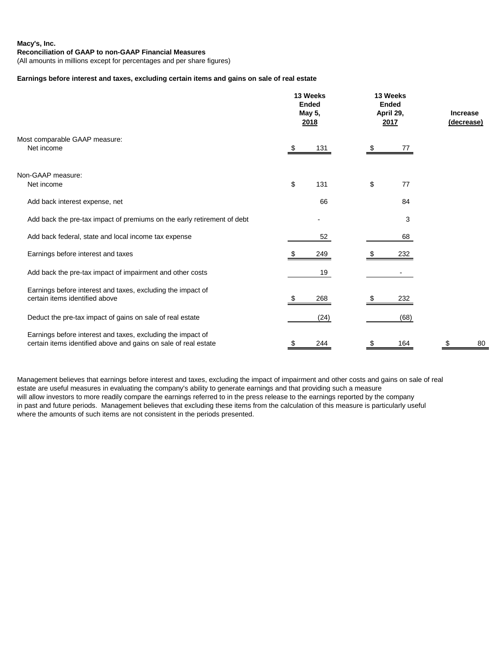## **Earnings before interest and taxes, excluding certain items and gains on sale of real estate**

| Most comparable GAAP measure:<br>Net income                                                                                    |    | 13 Weeks<br><b>Ended</b><br>May 5,<br>2018 |    | 13 Weeks<br><b>Ended</b><br>April 29,<br>2017 |    | <b>Increase</b><br>(decrease) |  |
|--------------------------------------------------------------------------------------------------------------------------------|----|--------------------------------------------|----|-----------------------------------------------|----|-------------------------------|--|
|                                                                                                                                |    | 131                                        |    | 77                                            |    |                               |  |
| Non-GAAP measure:                                                                                                              |    |                                            |    |                                               |    |                               |  |
| Net income                                                                                                                     | \$ | 131                                        | \$ | 77                                            |    |                               |  |
| Add back interest expense, net                                                                                                 |    | 66                                         |    | 84                                            |    |                               |  |
| Add back the pre-tax impact of premiums on the early retirement of debt                                                        |    |                                            |    | 3                                             |    |                               |  |
| Add back federal, state and local income tax expense                                                                           |    | 52                                         |    | 68                                            |    |                               |  |
| Earnings before interest and taxes                                                                                             |    | 249                                        |    | 232                                           |    |                               |  |
| Add back the pre-tax impact of impairment and other costs                                                                      |    | 19                                         |    |                                               |    |                               |  |
| Earnings before interest and taxes, excluding the impact of<br>certain items identified above                                  |    | 268                                        |    | 232                                           |    |                               |  |
| Deduct the pre-tax impact of gains on sale of real estate                                                                      |    | (24)                                       |    | (68)                                          |    |                               |  |
| Earnings before interest and taxes, excluding the impact of<br>certain items identified above and gains on sale of real estate | \$ | 244                                        | \$ | 164                                           | \$ | 80                            |  |

Management believes that earnings before interest and taxes, excluding the impact of impairment and other costs and gains on sale of real estate are useful measures in evaluating the company's ability to generate earnings and that providing such a measure will allow investors to more readily compare the earnings referred to in the press release to the earnings reported by the company in past and future periods. Management believes that excluding these items from the calculation of this measure is particularly useful where the amounts of such items are not consistent in the periods presented.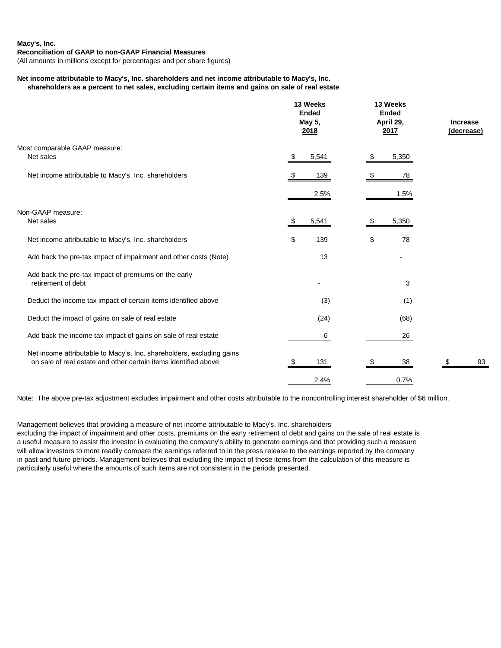#### **Macy's, Inc.**

#### **Reconciliation of GAAP to non-GAAP Financial Measures**

(All amounts in millions except for percentages and per share figures)

## **Net income attributable to Macy's, Inc. shareholders and net income attributable to Macy's, Inc. shareholders as a percent to net sales, excluding certain items and gains on sale of real estate**

|                                                                       | 13 Weeks<br><b>Ended</b><br>May 5,<br>2018 | 13 Weeks<br><b>Ended</b><br>April 29,<br>2017 | <b>Increase</b><br>(decrease) |  |
|-----------------------------------------------------------------------|--------------------------------------------|-----------------------------------------------|-------------------------------|--|
| Most comparable GAAP measure:                                         |                                            |                                               |                               |  |
| Net sales                                                             | 5,541<br>S.                                | 5,350                                         |                               |  |
| Net income attributable to Macy's, Inc. shareholders                  | 139<br>S.                                  | 78<br>\$                                      |                               |  |
|                                                                       | 2.5%                                       | 1.5%                                          |                               |  |
| Non-GAAP measure:                                                     |                                            |                                               |                               |  |
| Net sales                                                             | 5,541<br>- \$                              | 5,350<br>£.                                   |                               |  |
| Net income attributable to Macy's, Inc. shareholders                  | \$<br>139                                  | \$<br>78                                      |                               |  |
| Add back the pre-tax impact of impairment and other costs (Note)      | 13                                         |                                               |                               |  |
| Add back the pre-tax impact of premiums on the early                  |                                            |                                               |                               |  |
| retirement of debt                                                    | ۰                                          | 3                                             |                               |  |
| Deduct the income tax impact of certain items identified above        | (3)                                        | (1)                                           |                               |  |
| Deduct the impact of gains on sale of real estate                     | (24)                                       | (68)                                          |                               |  |
| Add back the income tax impact of gains on sale of real estate        | 6                                          | 26                                            |                               |  |
| Net income attributable to Macy's, Inc. shareholders, excluding gains |                                            |                                               |                               |  |
| on sale of real estate and other certain items identified above       | 131<br>S.                                  | 38<br>\$                                      | 93<br>\$                      |  |
|                                                                       | 2.4%                                       | 0.7%                                          |                               |  |

Note: The above pre-tax adjustment excludes impairment and other costs attributable to the noncontrolling interest shareholder of \$6 million.

Management believes that providing a measure of net income attributable to Macy's, Inc. shareholders

excluding the impact of impairment and other costs, premiums on the early retirement of debt and gains on the sale of real estate is a useful measure to assist the investor in evaluating the company's ability to generate earnings and that providing such a measure will allow investors to more readily compare the earnings referred to in the press release to the earnings reported by the company in past and future periods. Management believes that excluding the impact of these items from the calculation of this measure is particularly useful where the amounts of such items are not consistent in the periods presented.